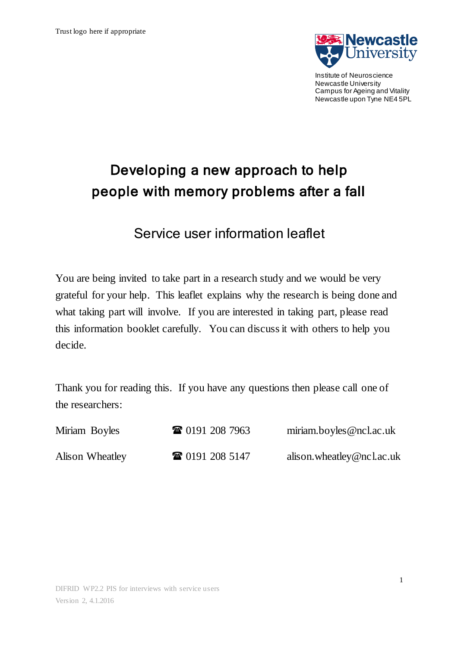

Institute of Neuroscience Newcastle University Campus for Ageing and Vitality Newcastle upon Tyne NE4 5PL

# Developing a new approach to help people with memory problems after a fall

Service user information leaflet

You are being invited to take part in a research study and we would be very grateful for your help. This leaflet explains why the research is being done and what taking part will involve. If you are interested in taking part, please read this information booklet carefully. You can discuss it with others to help you decide.

Thank you for reading this. If you have any questions then please call one of the researchers:

| Miriam Boyles   | <b>TE</b> 0191 208 7963 | miriam.boyles@ncl.ac.uk   |
|-----------------|-------------------------|---------------------------|
| Alison Wheatley | <b>雷 0191 208 5147</b>  | alison.wheatley@ncl.ac.uk |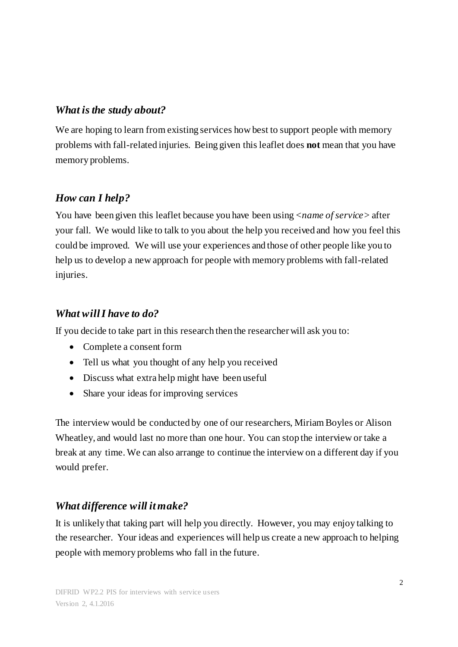## *What is the study about?*

We are hoping to learn from existing services how best to support people with memory problems with fall-related injuries. Being given this leaflet does **not** mean that you have memory problems.

# *How can I help?*

You have been given this leaflet because you have been using <*name of service>* after your fall*.* We would like to talk to you about the help you received and how you feel this could be improved. We will use your experiences and those of other people like you to help us to develop a new approach for people with memory problems with fall-related injuries.

#### *What will I have to do?*

If you decide to take part in this research then the researcher will ask you to:

- Complete a consent form
- Tell us what you thought of any help you received
- Discuss what extra help might have been useful
- Share your ideas for improving services

The interview would be conducted by one of our researchers, Miriam Boyles or Alison Wheatley, and would last no more than one hour. You can stop the interview or take a break at any time. We can also arrange to continue the interview on a different day if you would prefer.

# *What difference will it make?*

It is unlikely that taking part will help you directly. However, you may enjoy talking to the researcher. Your ideas and experiences will help us create a new approach to helping people with memory problems who fall in the future.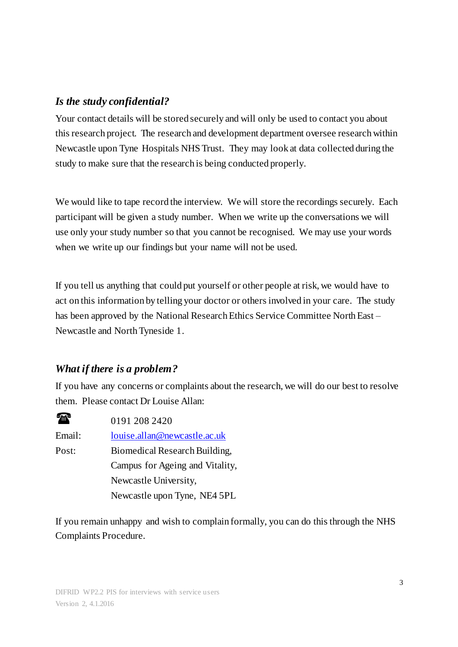#### *Is the study confidential?*

Your contact details will be stored securely and will only be used to contact you about this research project. The research and development department oversee research within Newcastle upon Tyne Hospitals NHS Trust. They may look at data collected during the study to make sure that the research is being conducted properly.

We would like to tape record the interview. We will store the recordings securely. Each participant will be given a study number. When we write up the conversations we will use only your study number so that you cannot be recognised. We may use your words when we write up our findings but your name will not be used.

If you tell us anything that could put yourself or other people at risk, we would have to act on this information by telling your doctor or others involved in your care. The study has been approved by the National Research Ethics Service Committee North East – Newcastle and North Tyneside 1.

#### *What if there is a problem?*

If you have any concerns or complaints about the research, we will do our best to resolve them. Please contact Dr Louise Allan:

| 0191 208 2420                   |
|---------------------------------|
| louise.allan@newcastle.ac.uk    |
| Biomedical Research Building,   |
| Campus for Ageing and Vitality, |
| Newcastle University,           |
| Newcastle upon Tyne, NE4 5PL    |
|                                 |

If you remain unhappy and wish to complain formally, you can do this through the NHS Complaints Procedure.